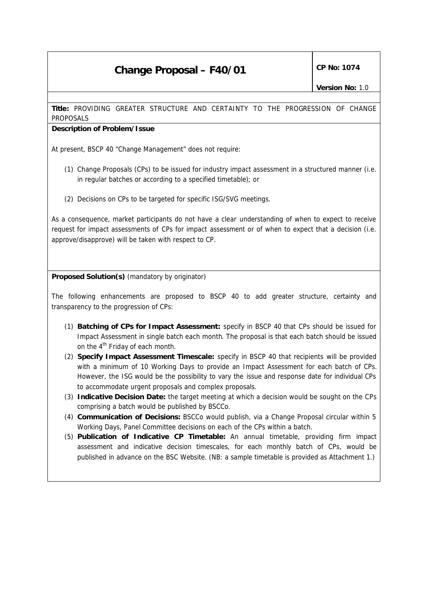# **Change Proposal – F40/01** CP No: 1074

**Title:** PROVIDING GREATER STRUCTURE AND CERTAINTY TO THE PROGRESSION OF CHANGE PROPOSALS

### **Description of Problem/Issue**

At present, BSCP 40 "Change Management" does not require:

- (1) Change Proposals (CPs) to be issued for industry impact assessment in a structured manner (i.e. in regular batches or according to a specified timetable); or
- (2) Decisions on CPs to be targeted for specific ISG/SVG meetings.

As a consequence, market participants do not have a clear understanding of when to expect to receive request for impact assessments of CPs for impact assessment or of when to expect that a decision (i.e. approve/disapprove) will be taken with respect to CP.

**Proposed Solution(s)** *(mandatory by originator)*

The following enhancements are proposed to BSCP 40 to add greater structure, certainty and transparency to the progression of CPs:

- (1) **Batching of CPs for Impact Assessment:** specify in BSCP 40 that CPs should be issued for Impact Assessment in single batch each month. The proposal is that each batch should be issued on the 4<sup>th</sup> Friday of each month.
- (2) **Specify Impact Assessment Timescale:** specify in BSCP 40 that recipients will be provided with a minimum of 10 Working Days to provide an Impact Assessment for each batch of CPs. However, the ISG would be the possibility to vary the issue and response date for individual CPs to accommodate urgent proposals and complex proposals.
- (3) **Indicative Decision Date:** the target meeting at which a decision would be sought on the CPs comprising a batch would be published by BSCCo.
- (4) **Communication of Decisions:** BSCCo would publish, via a Change Proposal circular within 5 Working Days, Panel Committee decisions on each of the CPs within a batch.
- (5) **Publication of Indicative CP Timetable:** An annual timetable, providing firm impact assessment and indicative decision timescales, for each monthly batch of CPs, would be published in advance on the BSC Website. (NB: a sample timetable is provided as Attachment 1.)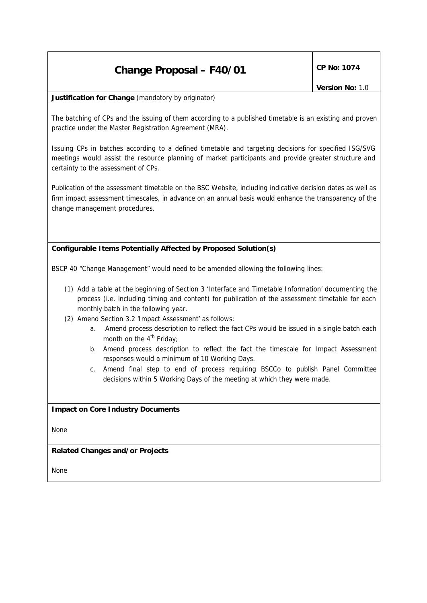# **Change Proposal – F40/01** CP No: 1074

*Version No: 1.0*

**Justification for Change** *(mandatory by originator)*

The batching of CPs and the issuing of them according to a published timetable is an existing and proven practice under the Master Registration Agreement (MRA).

Issuing CPs in batches according to a defined timetable and targeting decisions for specified ISG/SVG meetings would assist the resource planning of market participants and provide greater structure and certainty to the assessment of CPs.

Publication of the assessment timetable on the BSC Website, including indicative decision dates as well as firm impact assessment timescales, in advance on an annual basis would enhance the transparency of the change management procedures.

## **Configurable Items Potentially Affected by Proposed Solution(s)**

BSCP 40 "Change Management" would need to be amended allowing the following lines:

- (1) Add a table at the beginning of Section 3 'Interface and Timetable Information' documenting the process (i.e. including timing and content) for publication of the assessment timetable for each monthly batch in the following year.
- (2) Amend Section 3.2 'Impact Assessment' as follows:
	- a. Amend process description to reflect the fact CPs would be issued in a single batch each month on the  $4<sup>th</sup>$  Friday;
	- b. Amend process description to reflect the fact the timescale for Impact Assessment responses would a minimum of 10 Working Days.
	- c. Amend final step to end of process requiring BSCCo to publish Panel Committee decisions within 5 Working Days of the meeting at which they were made.

#### **Impact on Core Industry Documents**

None

**Related Changes and/or Projects** 

None